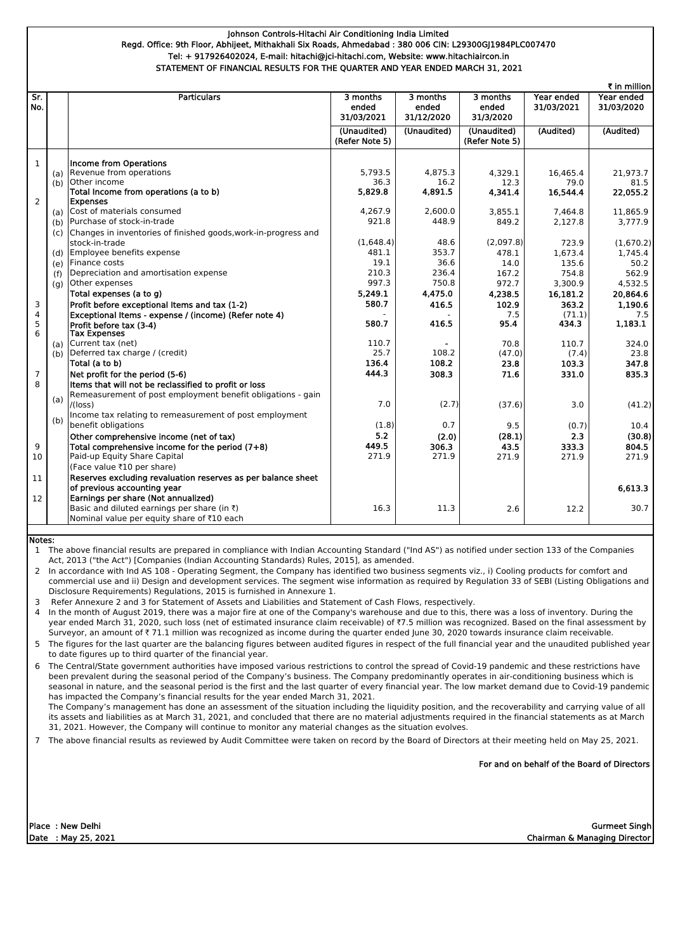|                |     |                                                                |                                 |                                 |                                |                          | ₹ in million             |
|----------------|-----|----------------------------------------------------------------|---------------------------------|---------------------------------|--------------------------------|--------------------------|--------------------------|
| Sr.<br>No.     |     | <b>Particulars</b>                                             | 3 months<br>ended<br>31/03/2021 | 3 months<br>ended<br>31/12/2020 | 3 months<br>ended<br>31/3/2020 | Year ended<br>31/03/2021 | Year ended<br>31/03/2020 |
|                |     |                                                                | (Unaudited)<br>(Refer Note 5)   | (Unaudited)                     | (Unaudited)<br>(Refer Note 5)  | (Audited)                | (Audited)                |
| $\mathbf{1}$   |     | <b>Income from Operations</b>                                  |                                 |                                 |                                |                          |                          |
|                | (a) | Revenue from operations                                        | 5,793.5                         | 4,875.3                         | 4,329.1                        | 16,465.4                 | 21,973.7                 |
|                | (b) | Other income                                                   | 36.3                            | 16.2                            | 12.3                           | 79.0                     | 81.5                     |
|                |     | Total Income from operations (a to b)                          | 5,829.8                         | 4,891.5                         | 4,341.4                        | 16,544.4                 | 22,055.2                 |
| $\overline{2}$ |     | <b>Expenses</b>                                                |                                 |                                 |                                |                          |                          |
|                | (a) | Cost of materials consumed                                     | 4,267.9                         | 2,600.0                         | 3,855.1                        | 7,464.8                  | 11,865.9                 |
|                | (b) | Purchase of stock-in-trade                                     | 921.8                           | 448.9                           | 849.2                          | 2,127.8                  | 3,777.9                  |
|                | (c) | Changes in inventories of finished goods, work-in-progress and |                                 |                                 |                                |                          |                          |
|                |     | stock-in-trade                                                 | (1,648.4)                       | 48.6                            | (2,097.8)                      | 723.9                    | (1,670.2)                |
|                | (d) | Employee benefits expense                                      | 481.1                           | 353.7                           | 478.1                          | 1,673.4                  | 1,745.4                  |
|                | (e) | Finance costs                                                  | 19.1                            | 36.6                            | 14.0                           | 135.6                    | 50.2                     |
|                | (f) | Depreciation and amortisation expense                          | 210.3                           | 236.4                           | 167.2                          | 754.8                    | 562.9                    |
|                | (g) | Other expenses                                                 | 997.3                           | 750.8                           | 972.7                          | 3,300.9                  | 4,532.5                  |
|                |     | Total expenses (a to g)                                        | 5,249.1                         | 4,475.0                         | 4,238.5                        | 16,181.2                 | 20,864.6                 |
| 3              |     | Profit before exceptional Items and tax (1-2)                  | 580.7                           | 416.5                           | 102.9                          | 363.2                    | 1,190.6                  |
| 4              |     | Exceptional Items - expense / (income) (Refer note 4)          |                                 |                                 | 7.5                            | (71.1)                   | 7.5                      |
| 5              |     | Profit before tax (3-4)                                        | 580.7                           | 416.5                           | 95.4                           | 434.3                    | 1,183.1                  |
| $6\phantom{1}$ |     | <b>Tax Expenses</b>                                            |                                 |                                 |                                |                          |                          |
|                | (a) | Current tax (net)                                              | 110.7                           |                                 | 70.8                           | 110.7                    | 324.0                    |
|                | (b) | Deferred tax charge / (credit)                                 | 25.7                            | 108.2                           | (47.0)                         | (7.4)                    | 23.8                     |
|                |     | Total (a to b)                                                 | 136.4                           | 108.2                           | 23.8                           | 103.3                    | 347.8                    |
| $\overline{7}$ |     | Net profit for the period (5-6)                                | 444.3                           | 308.3                           | 71.6                           | 331.0                    | 835.3                    |
| 8              |     | Items that will not be reclassified to profit or loss          |                                 |                                 |                                |                          |                          |
|                | (a) | Remeasurement of post employment benefit obligations - gain    |                                 |                                 |                                |                          |                          |
|                |     | /(loss)                                                        | 7.0                             | (2.7)                           | (37.6)                         | 3.0                      | (41.2)                   |
|                | (b) | Income tax relating to remeasurement of post employment        |                                 |                                 |                                |                          |                          |
|                |     | benefit obligations                                            | (1.8)                           | 0.7                             | 9.5                            | (0.7)                    | 10.4                     |
|                |     | Other comprehensive income (net of tax)                        | 5.2                             | (2.0)                           | (28.1)                         | 2.3                      | (30.8)                   |
| 9              |     | Total comprehensive income for the period $(7+8)$              | 449.5                           | 306.3                           | 43.5                           | 333.3                    | 804.5                    |
| 10             |     | Paid-up Equity Share Capital                                   | 271.9                           | 271.9                           | 271.9                          | 271.9                    | 271.9                    |
|                |     | (Face value ₹10 per share)                                     |                                 |                                 |                                |                          |                          |
| 11             |     | Reserves excluding revaluation reserves as per balance sheet   |                                 |                                 |                                |                          |                          |
|                |     | of previous accounting year                                    |                                 |                                 |                                |                          | 6,613.3                  |
| 12             |     | Earnings per share (Not annualized)                            |                                 |                                 |                                |                          |                          |
|                |     | Basic and diluted earnings per share (in $\bar{\tau}$ )        | 16.3                            | 11.3                            | 2.6                            | 12.2                     | 30.7                     |
|                |     | Nominal value per equity share of ₹10 each                     |                                 |                                 |                                |                          |                          |
|                |     |                                                                |                                 |                                 |                                |                          |                          |

4 In the month of August 2019, there was a major fire at one of the Company's warehouse and due to this, there was a loss of inventory. During the year ended March 31, 2020, such loss (net of estimated insurance claim receivable) of ₹7.5 million was recognized. Based on the final assessment by Surveyor, an amount of  $\bar{\tau}$  71.1 million was recognized as income during the quarter ended June 30, 2020 towards insurance claim receivable.

For and on behalf of the Board of Directors

Place : New Delhi

1 The above financial results are prepared in compliance with Indian Accounting Standard ("Ind AS") as notified under section 133 of the Companies Act, 2013 ("the Act") [Companies (Indian Accounting Standards) Rules, 2015], as amended.

2 In accordance with Ind AS 108 - Operating Segment, the Company has identified two business segments viz., i) Cooling products for comfort and commercial use and ii) Design and development services. The segment wise information as required by Regulation 33 of SEBI (Listing Obligations and Disclosure Requirements) Regulations, 2015 is furnished in Annexure 1.

6 The Central/State government authorities have imposed various restrictions to control the spread of Covid-19 pandemic and these restrictions have been prevalent during the seasonal period of the Company's business. The Company predominantly operates in air-conditioning business which is seasonal in nature, and the seasonal period is the first and the last quarter of every financial year. The low market demand due to Covid-19 pandemic has impacted the Company's financial results for the year ended March 31, 2021.

3 Refer Annexure 2 and 3 for Statement of Assets and Liabilities and Statement of Cash Flows, respectively.

7 The above financial results as reviewed by Audit Committee were taken on record by the Board of Directors at their meeting held on May 25, 2021.

Date : May 25, 2021 Chairman & Managing Director Gurmeet Singh

5 The figures for the last quarter are the balancing figures between audited figures in respect of the full financial year and the unaudited published year to date figures up to third quarter of the financial year.

The Company's management has done an assessment of the situation including the liquidity position, and the recoverability and carrying value of all its assets and liabilities as at March 31, 2021, and concluded that there are no material adjustments required in the financial statements as at March 31, 2021. However, the Company will continue to monitor any material changes as the situation evolves.

# Notes:

# Johnson Controls-Hitachi Air Conditioning India Limited Regd. Office: 9th Floor, Abhijeet, Mithakhali Six Roads, Ahmedabad : 380 006 CIN: L29300GJ1984PLC007470 Tel: + 917926402024, E-mail: hitachi@jci-hitachi.com, Website: www.hitachiaircon.in STATEMENT OF FINANCIAL RESULTS FOR THE QUARTER AND YEAR ENDED MARCH 31, 2021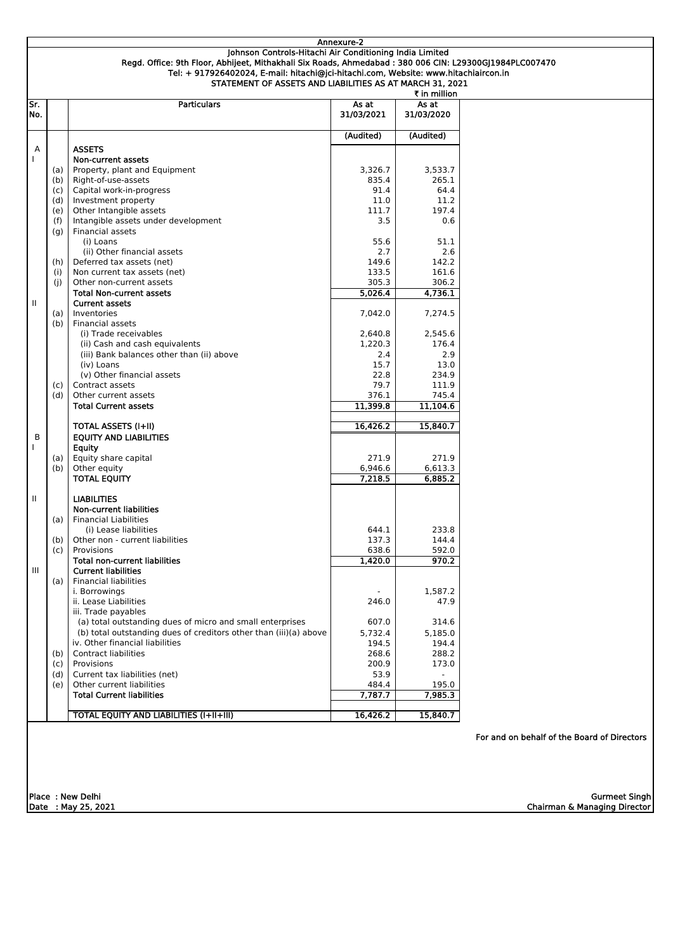|              |                                                                                                        | Annexure-2    |              |  |
|--------------|--------------------------------------------------------------------------------------------------------|---------------|--------------|--|
|              | Johnson Controls-Hitachi Air Conditioning India Limited                                                |               |              |  |
|              | Regd. Office: 9th Floor, Abhijeet, Mithakhali Six Roads, Ahmedabad: 380 006 CIN: L29300GJ1984PLC007470 |               |              |  |
|              | Tel: + 917926402024, E-mail: hitachi@jci-hitachi.com, Website: www.hitachiaircon.in                    |               |              |  |
|              | STATEMENT OF ASSETS AND LIABILITIES AS AT MARCH 31, 2021                                               |               |              |  |
|              |                                                                                                        |               | ₹ in million |  |
| Sr.          | <b>Particulars</b>                                                                                     | As at         | As at        |  |
| No.          |                                                                                                        | 31/03/2021    | 31/03/2020   |  |
|              |                                                                                                        |               |              |  |
|              |                                                                                                        | (Audited)     | (Audited)    |  |
| Α            | <b>ASSETS</b>                                                                                          |               |              |  |
|              |                                                                                                        |               |              |  |
|              | Non-current assets                                                                                     |               |              |  |
| (a)          | Property, plant and Equipment                                                                          | 3,326.7       | 3,533.7      |  |
| (b)          | Right-of-use-assets                                                                                    | 835.4<br>91.4 | 265.1        |  |
| (c)          | Capital work-in-progress                                                                               |               | 64.4         |  |
| (d)          | Investment property                                                                                    | 11.0          | 11.2         |  |
| (e)          | Other Intangible assets                                                                                | 111.7         | 197.4        |  |
| (f)          | Intangible assets under development                                                                    | 3.5           | 0.6          |  |
| (g)          | Financial assets                                                                                       |               |              |  |
|              | (i) Loans                                                                                              | 55.6          | 51.1         |  |
|              | (ii) Other financial assets                                                                            | 2.7           | 2.6          |  |
| (h)          | Deferred tax assets (net)                                                                              | 149.6         | 142.2        |  |
| (i)          | Non current tax assets (net)                                                                           | 133.5         | 161.6        |  |
| (i)          | Other non-current assets                                                                               | 305.3         | 306.2        |  |
|              | <b>Total Non-current assets</b>                                                                        | 5,026.4       | 4,736.1      |  |
| $\mathbf{H}$ | <b>Current assets</b>                                                                                  |               |              |  |
| (a)          | Inventories                                                                                            | 7,042.0       | 7,274.5      |  |
| (b)          | Financial assets                                                                                       |               |              |  |
|              | (i) Trade receivables                                                                                  | 2,640.8       | 2,545.6      |  |
|              | (ii) Cash and cash equivalents                                                                         | 1,220.3       | 176.4        |  |
|              | (iii) Bank balances other than (ii) above                                                              | 2.4           | 2.9          |  |
|              | (iv) Loans                                                                                             | 15.7          | 13.0         |  |
|              | (v) Other financial assets                                                                             | 22.8          | 234.9        |  |
| (c)          | Contract assets                                                                                        | 79.7          | 111.9        |  |
| (d)          | Other current assets                                                                                   | 376.1         | 745.4        |  |
|              | <b>Total Current assets</b>                                                                            | 11,399.8      | 11,104.6     |  |
|              |                                                                                                        |               |              |  |
|              | <b>TOTAL ASSETS (I+II)</b>                                                                             | 16,426.2      | 15,840.7     |  |
| B            | <b>EQUITY AND LIABILITIES</b>                                                                          |               |              |  |
|              | Equity                                                                                                 |               |              |  |
| (a)          | Equity share capital                                                                                   | 271.9         | 271.9        |  |
| (b)          | Other equity                                                                                           | 6,946.6       | 6,613.3      |  |
|              | <b>TOTAL EQUITY</b>                                                                                    | 7,218.5       | 6,885.2      |  |
|              |                                                                                                        |               |              |  |
| 11           | <b>LIABILITIES</b>                                                                                     |               |              |  |
|              | <b>Non-current liabilities</b>                                                                         |               |              |  |
| (a)          | <b>Financial Liabilities</b>                                                                           |               |              |  |
|              | (i) Lease liabilities                                                                                  | 644.1         | 233.8        |  |
|              | Other non - current liabilities                                                                        | 137.3         | 144.4        |  |
| (b)          | Provisions                                                                                             | 638.6         | 592.0        |  |
| (c)          |                                                                                                        |               |              |  |
|              | <b>Total non-current liabilities</b>                                                                   | 1,420.0       | 970.2        |  |
| III          | <b>Current liabilities</b>                                                                             |               |              |  |
| (a)          | <b>Financial liabilities</b>                                                                           |               |              |  |
|              | i. Borrowings                                                                                          |               | 1,587.2      |  |
|              | ii. Lease Liabilities                                                                                  | 246.0         | 47.9         |  |
|              | iii. Trade payables                                                                                    |               |              |  |
|              | (a) total outstanding dues of micro and small enterprises                                              | 607.0         | 314.6        |  |
|              | (b) total outstanding dues of creditors other than (iii)(a) above                                      | 5,732.4       | 5,185.0      |  |
|              | iv. Other financial liabilities                                                                        | 194.5         | 194.4        |  |
| (b)          | <b>Contract liabilities</b>                                                                            | 268.6         | 288.2        |  |
| (c)          | Provisions                                                                                             | 200.9         | 173.0        |  |
| (d)          | Current tax liabilities (net)                                                                          | 53.9          |              |  |
| (e)          | Other current liabilities                                                                              | 484.4         | 195.0        |  |
|              | <b>Total Current liabilities</b>                                                                       | 7,787.7       | 7,985.3      |  |
|              |                                                                                                        |               |              |  |
|              | <b>TOTAL EQUITY AND LIABILITIES (I+II+III)</b>                                                         | 16,426.2      | 15,840.7     |  |

|                  |                     | For and on behalf of the Board of Directors |
|------------------|---------------------|---------------------------------------------|
|                  |                     |                                             |
|                  |                     |                                             |
|                  |                     |                                             |
| Place: New Delhi |                     | Gurmeet Singh                               |
|                  | Date : May 25, 2021 | Chairman & Managing Director                |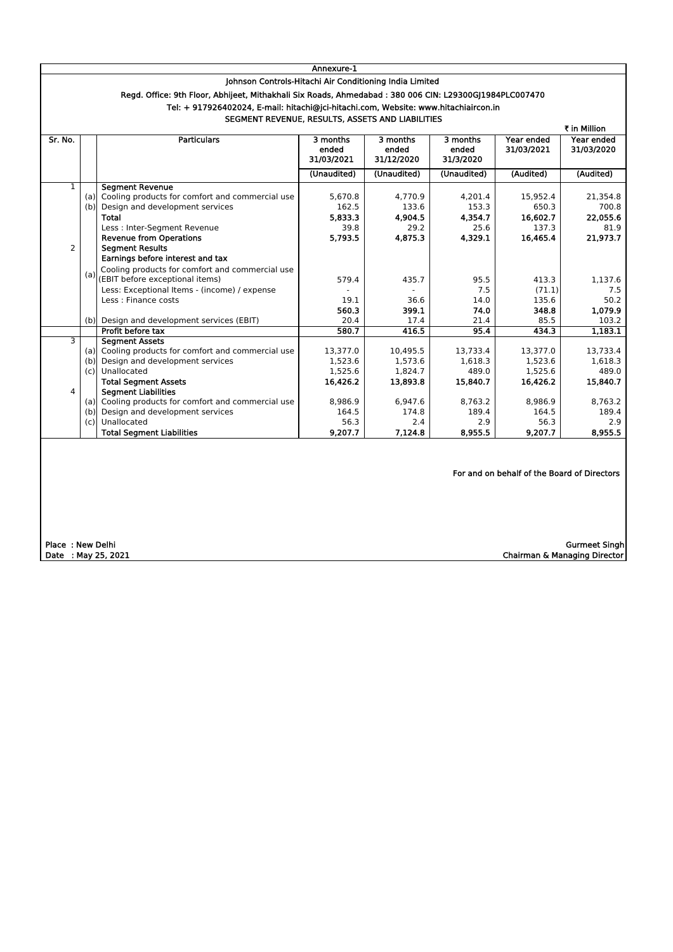|                                                         | Annexure-1 |                                                                                                         |                                 |                                 |                                             |                          |                          |
|---------------------------------------------------------|------------|---------------------------------------------------------------------------------------------------------|---------------------------------|---------------------------------|---------------------------------------------|--------------------------|--------------------------|
| Johnson Controls-Hitachi Air Conditioning India Limited |            |                                                                                                         |                                 |                                 |                                             |                          |                          |
|                                                         |            | Regd. Office: 9th Floor, Abhijeet, Mithakhali Six Roads, Ahmedabad : 380 006 CIN: L29300GJ1984PLC007470 |                                 |                                 |                                             |                          |                          |
|                                                         |            | Tel: + 917926402024, E-mail: hitachi@jci-hitachi.com, Website: www.hitachiaircon.in                     |                                 |                                 |                                             |                          |                          |
|                                                         |            | SEGMENT REVENUE, RESULTS, ASSETS AND LIABILITIES                                                        |                                 |                                 |                                             |                          |                          |
|                                                         |            |                                                                                                         |                                 |                                 |                                             |                          | ₹ in Million             |
| Sr. No.                                                 |            | <b>Particulars</b>                                                                                      | 3 months<br>ended<br>31/03/2021 | 3 months<br>ended<br>31/12/2020 | 3 months<br>ended<br>31/3/2020              | Year ended<br>31/03/2021 | Year ended<br>31/03/2020 |
|                                                         |            |                                                                                                         | (Unaudited)                     | (Unaudited)                     | (Unaudited)                                 | (Audited)                | (Audited)                |
| 1                                                       |            | <b>Segment Revenue</b>                                                                                  |                                 |                                 |                                             |                          |                          |
|                                                         | (a)        | Cooling products for comfort and commercial use                                                         | 5,670.8                         | 4,770.9                         | 4,201.4                                     | 15,952.4                 | 21,354.8                 |
|                                                         | (b)        | Design and development services                                                                         | 162.5                           | 133.6                           | 153.3                                       | 650.3                    | 700.8                    |
|                                                         |            | <b>Total</b>                                                                                            | 5,833.3                         | 4,904.5                         | 4,354.7                                     | 16,602.7                 | 22,055.6                 |
|                                                         |            | Less : Inter-Segment Revenue                                                                            | 39.8                            | 29.2                            | 25.6                                        | 137.3                    | 81.9                     |
|                                                         |            | <b>Revenue from Operations</b>                                                                          | 5,793.5                         | 4,875.3                         | 4,329.1                                     | 16,465.4                 | 21,973.7                 |
| $\overline{2}$                                          |            | <b>Segment Results</b>                                                                                  |                                 |                                 |                                             |                          |                          |
|                                                         |            | Earnings before interest and tax                                                                        |                                 |                                 |                                             |                          |                          |
|                                                         | (a)        | Cooling products for comfort and commercial use                                                         |                                 |                                 |                                             |                          |                          |
|                                                         |            | (EBIT before exceptional items)                                                                         | 579.4                           | 435.7                           | 95.5                                        | 413.3                    | 1,137.6                  |
|                                                         |            | Less: Exceptional Items - (income) / expense                                                            |                                 |                                 | 7.5                                         | (71.1)                   | 7.5                      |
|                                                         |            | Less : Finance costs                                                                                    | 19.1                            | 36.6                            | 14.0                                        | 135.6                    | 50.2                     |
|                                                         |            |                                                                                                         | 560.3                           | 399.1                           | 74.0                                        | 348.8                    | 1,079.9                  |
|                                                         | (b)        | Design and development services (EBIT)                                                                  | 20.4                            | 17.4                            | 21.4                                        | 85.5                     | 103.2                    |
| 3                                                       |            | Profit before tax                                                                                       | 580.7                           | 416.5                           | 95.4                                        | 434.3                    | 1,183.1                  |
|                                                         | (a)        | <b>Segment Assets</b><br>Cooling products for comfort and commercial use                                | 13,377.0                        | 10,495.5                        | 13,733.4                                    | 13,377.0                 | 13,733.4                 |
|                                                         | (b)        | Design and development services                                                                         | 1,523.6                         | 1,573.6                         | 1,618.3                                     | 1,523.6                  | 1,618.3                  |
|                                                         | (c)        | Unallocated                                                                                             | 1,525.6                         | 1,824.7                         | 489.0                                       | 1,525.6                  | 489.0                    |
|                                                         |            | <b>Total Segment Assets</b>                                                                             | 16,426.2                        | 13,893.8                        | 15,840.7                                    | 16,426.2                 | 15,840.7                 |
| 4                                                       |            | <b>Segment Liabilities</b>                                                                              |                                 |                                 |                                             |                          |                          |
|                                                         | (a)        | Cooling products for comfort and commercial use                                                         | 8,986.9                         | 6,947.6                         | 8,763.2                                     | 8,986.9                  | 8,763.2                  |
|                                                         | (b)        | Design and development services                                                                         | 164.5                           | 174.8                           | 189.4                                       | 164.5                    | 189.4                    |
|                                                         |            | (c) Unallocated                                                                                         | 56.3                            | 2.4                             | 2.9                                         | 56.3                     | 2.9                      |
|                                                         |            | <b>Total Segment Liabilities</b>                                                                        | 9,207.7                         | 7,124.8                         | 8,955.5                                     | 9,207.7                  | 8,955.5                  |
|                                                         |            |                                                                                                         |                                 |                                 | For and on behalf of the Board of Directors |                          |                          |

Date : May 25, 2021 Chairman & Managing Director Gurmeet Singh